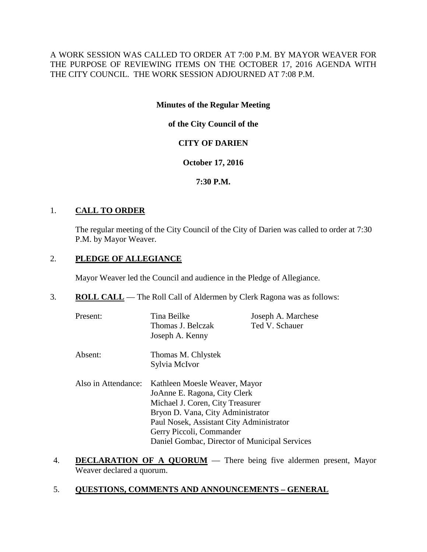A WORK SESSION WAS CALLED TO ORDER AT 7:00 P.M. BY MAYOR WEAVER FOR THE PURPOSE OF REVIEWING ITEMS ON THE OCTOBER 17, 2016 AGENDA WITH THE CITY COUNCIL. THE WORK SESSION ADJOURNED AT 7:08 P.M.

## **Minutes of the Regular Meeting**

**of the City Council of the**

# **CITY OF DARIEN**

## **October 17, 2016**

**7:30 P.M.**

## 1. **CALL TO ORDER**

The regular meeting of the City Council of the City of Darien was called to order at 7:30 P.M. by Mayor Weaver.

# 2. **PLEDGE OF ALLEGIANCE**

Mayor Weaver led the Council and audience in the Pledge of Allegiance.

3. **ROLL CALL** — The Roll Call of Aldermen by Clerk Ragona was as follows:

| Present:            | Tina Beilke<br>Thomas J. Belczak<br>Joseph A. Kenny                           | Joseph A. Marchese<br>Ted V. Schauer |  |
|---------------------|-------------------------------------------------------------------------------|--------------------------------------|--|
| Absent:             | Thomas M. Chlystek<br>Sylvia McIvor                                           |                                      |  |
| Also in Attendance: | Kathleen Moesle Weaver, Mayor<br>JoAnne E. Ragona, City Clerk                 |                                      |  |
|                     | Michael J. Coren, City Treasurer                                              |                                      |  |
|                     | Bryon D. Vana, City Administrator<br>Paul Nosek, Assistant City Administrator |                                      |  |
|                     | Gerry Piccoli, Commander                                                      |                                      |  |
|                     | Daniel Gombac, Director of Municipal Services                                 |                                      |  |

- 4. **DECLARATION OF A QUORUM** There being five aldermen present, Mayor Weaver declared a quorum.
- 5. **QUESTIONS, COMMENTS AND ANNOUNCEMENTS – GENERAL**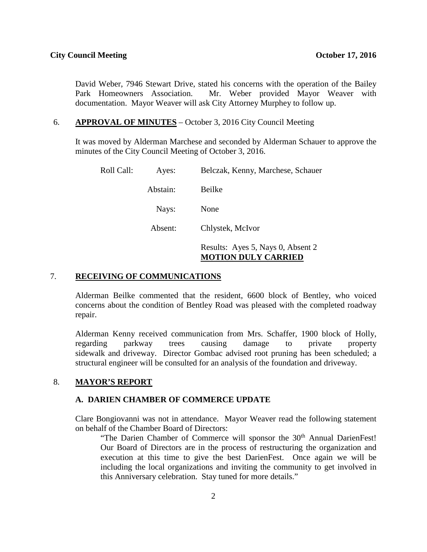David Weber, 7946 Stewart Drive, stated his concerns with the operation of the Bailey Park Homeowners Association. Mr. Weber provided Mayor Weaver with documentation. Mayor Weaver will ask City Attorney Murphey to follow up.

#### 6. **APPROVAL OF MINUTES** – October 3, 2016 City Council Meeting

It was moved by Alderman Marchese and seconded by Alderman Schauer to approve the minutes of the City Council Meeting of October 3, 2016.

| Roll Call: | Ayes:    | Belczak, Kenny, Marchese, Schauer                               |
|------------|----------|-----------------------------------------------------------------|
|            | Abstain: | Beilke                                                          |
|            | Nays:    | None                                                            |
|            | Absent:  | Chlystek, McIvor                                                |
|            |          | Results: Ayes 5, Nays 0, Absent 2<br><b>MOTION DULY CARRIED</b> |

#### 7. **RECEIVING OF COMMUNICATIONS**

Alderman Beilke commented that the resident, 6600 block of Bentley, who voiced concerns about the condition of Bentley Road was pleased with the completed roadway repair.

Alderman Kenny received communication from Mrs. Schaffer, 1900 block of Holly, regarding parkway trees causing damage to private property sidewalk and driveway. Director Gombac advised root pruning has been scheduled; a structural engineer will be consulted for an analysis of the foundation and driveway.

### 8. **MAYOR'S REPORT**

#### **A. DARIEN CHAMBER OF COMMERCE UPDATE**

Clare Bongiovanni was not in attendance. Mayor Weaver read the following statement on behalf of the Chamber Board of Directors:

"The Darien Chamber of Commerce will sponsor the 30<sup>th</sup> Annual DarienFest! Our Board of Directors are in the process of restructuring the organization and execution at this time to give the best DarienFest. Once again we will be including the local organizations and inviting the community to get involved in this Anniversary celebration. Stay tuned for more details."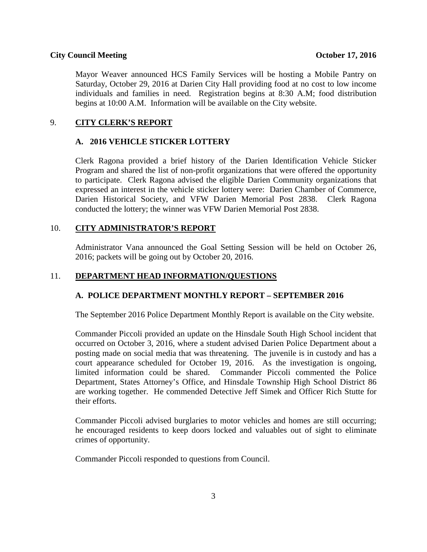#### **City Council Meeting October 17, 2016**

Mayor Weaver announced HCS Family Services will be hosting a Mobile Pantry on Saturday, October 29, 2016 at Darien City Hall providing food at no cost to low income individuals and families in need. Registration begins at 8:30 A.M; food distribution begins at 10:00 A.M. Information will be available on the City website.

## 9. **CITY CLERK'S REPORT**

#### **A. 2016 VEHICLE STICKER LOTTERY**

Clerk Ragona provided a brief history of the Darien Identification Vehicle Sticker Program and shared the list of non-profit organizations that were offered the opportunity to participate. Clerk Ragona advised the eligible Darien Community organizations that expressed an interest in the vehicle sticker lottery were: Darien Chamber of Commerce, Darien Historical Society, and VFW Darien Memorial Post 2838. Clerk Ragona conducted the lottery; the winner was VFW Darien Memorial Post 2838.

#### 10. **CITY ADMINISTRATOR'S REPORT**

Administrator Vana announced the Goal Setting Session will be held on October 26, 2016; packets will be going out by October 20, 2016.

## 11. **DEPARTMENT HEAD INFORMATION/QUESTIONS**

## **A. POLICE DEPARTMENT MONTHLY REPORT – SEPTEMBER 2016**

The September 2016 Police Department Monthly Report is available on the City website.

Commander Piccoli provided an update on the Hinsdale South High School incident that occurred on October 3, 2016, where a student advised Darien Police Department about a posting made on social media that was threatening. The juvenile is in custody and has a court appearance scheduled for October 19, 2016. As the investigation is ongoing, limited information could be shared. Commander Piccoli commented the Police Department, States Attorney's Office, and Hinsdale Township High School District 86 are working together. He commended Detective Jeff Simek and Officer Rich Stutte for their efforts.

Commander Piccoli advised burglaries to motor vehicles and homes are still occurring; he encouraged residents to keep doors locked and valuables out of sight to eliminate crimes of opportunity.

Commander Piccoli responded to questions from Council.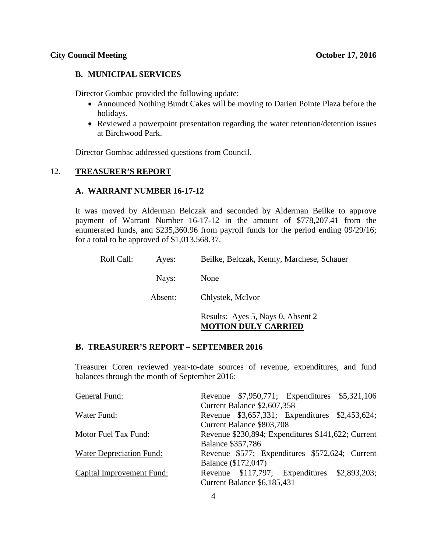### **B. MUNICIPAL SERVICES**

Director Gombac provided the following update:

- Announced Nothing Bundt Cakes will be moving to Darien Pointe Plaza before the holidays.
- Reviewed a powerpoint presentation regarding the water retention/detention issues at Birchwood Park.

Director Gombac addressed questions from Council.

### 12. **TREASURER'S REPORT**

#### **A. WARRANT NUMBER 16-17-12**

It was moved by Alderman Belczak and seconded by Alderman Beilke to approve payment of Warrant Number 16-17-12 in the amount of \$778,207.41 from the enumerated funds, and \$235,360.96 from payroll funds for the period ending 09/29/16; for a total to be approved of \$1,013,568.37.

| Roll Call: | Ayes:   | Beilke, Belczak, Kenny, Marchese, Schauer                       |
|------------|---------|-----------------------------------------------------------------|
|            | Nays:   | None                                                            |
|            | Absent: | Chlystek, McIvor                                                |
|            |         | Results: Ayes 5, Nays 0, Absent 2<br><b>MOTION DULY CARRIED</b> |

## **B. TREASURER'S REPORT – SEPTEMBER 2016**

Treasurer Coren reviewed year-to-date sources of revenue, expenditures, and fund balances through the month of September 2016:

| General Fund:             | Revenue \$7,950,771; Expenditures \$5,321,106      |
|---------------------------|----------------------------------------------------|
|                           | Current Balance \$2,607,358                        |
| Water Fund:               | Revenue \$3,657,331; Expenditures \$2,453,624;     |
|                           | Current Balance \$803,708                          |
| Motor Fuel Tax Fund:      | Revenue \$230,894; Expenditures \$141,622; Current |
|                           | <b>Balance \$357,786</b>                           |
| Water Depreciation Fund:  | Revenue \$577; Expenditures \$572,624; Current     |
|                           | Balance (\$172,047)                                |
| Capital Improvement Fund: | Revenue \$117,797; Expenditures \$2,893,203;       |
|                           | Current Balance \$6,185,431                        |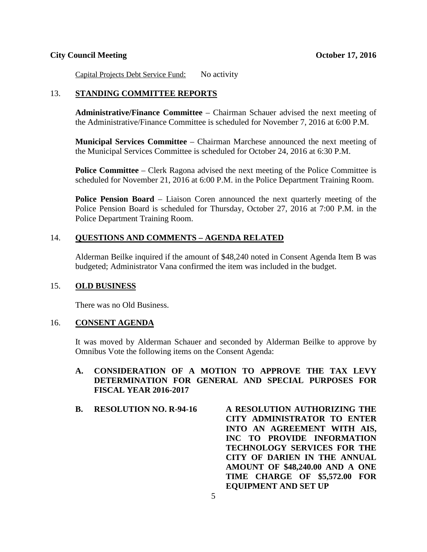#### **City Council Meeting October 17, 2016**

Capital Projects Debt Service Fund: No activity

#### 13. **STANDING COMMITTEE REPORTS**

**Administrative/Finance Committee** – Chairman Schauer advised the next meeting of the Administrative/Finance Committee is scheduled for November 7, 2016 at 6:00 P.M.

**Municipal Services Committee** – Chairman Marchese announced the next meeting of the Municipal Services Committee is scheduled for October 24, 2016 at 6:30 P.M.

**Police Committee** – Clerk Ragona advised the next meeting of the Police Committee is scheduled for November 21, 2016 at 6:00 P.M. in the Police Department Training Room.

**Police Pension Board** – Liaison Coren announced the next quarterly meeting of the Police Pension Board is scheduled for Thursday, October 27, 2016 at 7:00 P.M. in the Police Department Training Room.

#### 14. **QUESTIONS AND COMMENTS – AGENDA RELATED**

Alderman Beilke inquired if the amount of \$48,240 noted in Consent Agenda Item B was budgeted; Administrator Vana confirmed the item was included in the budget.

#### 15. **OLD BUSINESS**

There was no Old Business.

#### 16. **CONSENT AGENDA**

It was moved by Alderman Schauer and seconded by Alderman Beilke to approve by Omnibus Vote the following items on the Consent Agenda:

## **A. CONSIDERATION OF A MOTION TO APPROVE THE TAX LEVY DETERMINATION FOR GENERAL AND SPECIAL PURPOSES FOR FISCAL YEAR 2016-2017**

**B. RESOLUTION NO. R-94-16 A RESOLUTION AUTHORIZING THE CITY ADMINISTRATOR TO ENTER INTO AN AGREEMENT WITH AIS, INC TO PROVIDE INFORMATION TECHNOLOGY SERVICES FOR THE CITY OF DARIEN IN THE ANNUAL AMOUNT OF \$48,240.00 AND A ONE TIME CHARGE OF \$5,572.00 FOR EQUIPMENT AND SET UP**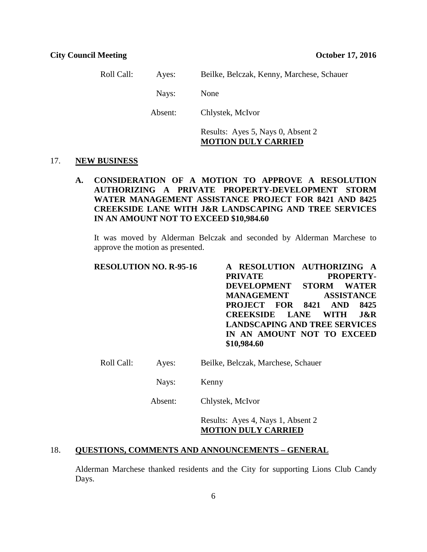Roll Call: Ayes: Beilke, Belczak, Kenny, Marchese, Schauer Nays: None Absent: Chlystek, McIvor

## Results: Ayes 5, Nays 0, Absent 2 **MOTION DULY CARRIED**

#### 17. **NEW BUSINESS**

## **A. CONSIDERATION OF A MOTION TO APPROVE A RESOLUTION AUTHORIZING A PRIVATE PROPERTY-DEVELOPMENT STORM WATER MANAGEMENT ASSISTANCE PROJECT FOR 8421 AND 8425 CREEKSIDE LANE WITH J&R LANDSCAPING AND TREE SERVICES IN AN AMOUNT NOT TO EXCEED \$10,984.60**

It was moved by Alderman Belczak and seconded by Alderman Marchese to approve the motion as presented.

| <b>RESOLUTION NO. R-95-16</b> | A RESOLUTION AUTHORIZING A             |
|-------------------------------|----------------------------------------|
|                               | <b>PRIVATE</b><br>PROPERTY-            |
|                               | DEVELOPMENT STORM WATER                |
|                               | <b>MANAGEMENT</b><br><b>ASSISTANCE</b> |
|                               | <b>PROJECT FOR 8421 AND 8425</b>       |
|                               | <b>CREEKSIDE LANE WITH J&amp;R</b>     |
|                               | <b>LANDSCAPING AND TREE SERVICES</b>   |
|                               | IN AN AMOUNT NOT TO EXCEED             |
|                               | \$10,984.60                            |

- Roll Call: Ayes: Beilke, Belczak, Marchese, Schauer
	- Nays: Kenny

Absent: Chlystek, McIvor

Results: Ayes 4, Nays 1, Absent 2 **MOTION DULY CARRIED**

# 18. **QUESTIONS, COMMENTS AND ANNOUNCEMENTS – GENERAL**

Alderman Marchese thanked residents and the City for supporting Lions Club Candy Days.